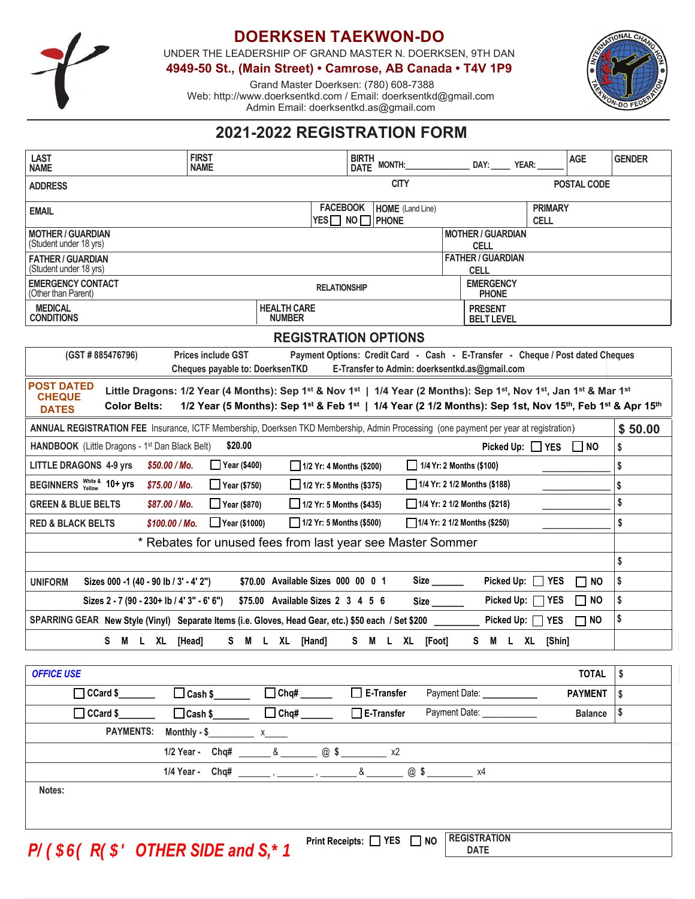

# **DOERKSEN TAEKWON-DO**

UNDER THE LEADERSHIP OF GRAND MASTER N. DOERKSEN, 9TH DAN

**4949-50 St., (Main Street) • Camrose, AB Canada • T4V 1P9**

Grand Master Doerksen: (780) 608-7388 Web: http://www.doerksentkd.com / Email: doerksentkd@gmail.com Admin Email: doerksentkd.as@gmail.com



# **2021-2022 REGISTRATION FORM**

| <b>LAST</b><br>NAME                                                                                                                                                                                                                                                                                                                                                                                                                              | <b>FIRST</b><br><b>NAME</b> | <b>BIRTH</b>                             | DATE MONTH:             | DAY: YEAR:                 |                               | <b>AGE</b>     | <b>GENDER</b> |
|--------------------------------------------------------------------------------------------------------------------------------------------------------------------------------------------------------------------------------------------------------------------------------------------------------------------------------------------------------------------------------------------------------------------------------------------------|-----------------------------|------------------------------------------|-------------------------|----------------------------|-------------------------------|----------------|---------------|
| <b>CITY</b><br>POSTAL CODE<br><b>ADDRESS</b>                                                                                                                                                                                                                                                                                                                                                                                                     |                             |                                          |                         |                            |                               |                |               |
| <b>EMAIL</b>                                                                                                                                                                                                                                                                                                                                                                                                                                     |                             | <b>FACEBOOK</b><br>$YES$ NO $\Box$ Phone | <b>HOME</b> (Land Line) |                            | <b>PRIMARY</b><br><b>CELL</b> |                |               |
| <b>MOTHER / GUARDIAN</b><br><b>MOTHER / GUARDIAN</b><br>(Student under 18 yrs)<br><b>CELL</b>                                                                                                                                                                                                                                                                                                                                                    |                             |                                          |                         |                            |                               |                |               |
| <b>FATHER / GUARDIAN</b><br><b>FATHER / GUARDIAN</b><br>(Student under 18 yrs)<br><b>CELL</b>                                                                                                                                                                                                                                                                                                                                                    |                             |                                          |                         |                            |                               |                |               |
| <b>EMERGENCY</b><br><b>EMERGENCY CONTACT</b><br><b>RELATIONSHIP</b><br>(Other than Parent)<br><b>PHONE</b>                                                                                                                                                                                                                                                                                                                                       |                             |                                          |                         |                            |                               |                |               |
| <b>MEDICAL</b><br><b>HEALTH CARE</b><br><b>PRESENT</b><br><b>CONDITIONS</b><br><b>NUMBER</b><br><b>BELT LEVEL</b>                                                                                                                                                                                                                                                                                                                                |                             |                                          |                         |                            |                               |                |               |
| <b>REGISTRATION OPTIONS</b>                                                                                                                                                                                                                                                                                                                                                                                                                      |                             |                                          |                         |                            |                               |                |               |
| (GST # 885476796)<br>Payment Options: Credit Card - Cash - E-Transfer - Cheque / Post dated Cheques<br><b>Prices include GST</b><br>Cheques payable to: DoerksenTKD<br>E-Transfer to Admin: doerksentkd.as@gmail.com                                                                                                                                                                                                                             |                             |                                          |                         |                            |                               |                |               |
| <b>POST DATED</b><br>Little Dragons: 1/2 Year (4 Months): Sep 1 <sup>st</sup> & Nov 1 <sup>st</sup>   1/4 Year (2 Months): Sep 1 <sup>st</sup> , Nov 1 <sup>st</sup> , Jan 1 <sup>st</sup> & Mar 1 <sup>st</sup><br><b>CHEQUE</b><br>1/2 Year (5 Months): Sep 1 <sup>st</sup> & Feb 1 <sup>st</sup>   1/4 Year (2 1/2 Months): Sep 1st, Nov 15 <sup>th</sup> , Feb 1 <sup>st</sup> & Apr 15 <sup>th</sup><br><b>Color Belts:</b><br><b>DATES</b> |                             |                                          |                         |                            |                               |                |               |
| ANNUAL REGISTRATION FEE Insurance, ICTF Membership, Doerksen TKD Membership, Admin Processing (one payment per year at registration)                                                                                                                                                                                                                                                                                                             |                             |                                          |                         |                            |                               | \$50.00        |               |
| HANDBOOK (Little Dragons - 1 <sup>st</sup> Dan Black Belt)                                                                                                                                                                                                                                                                                                                                                                                       | \$20.00                     |                                          |                         |                            | Picked Up: □ YES □ NO         |                | \$            |
| <b>LITTLE DRAGONS 4-9 yrs</b><br>\$50.00 / Mo.<br>$\Box$ Year (\$400)<br>$\Box$ 1/4 Yr: 2 Months (\$100)<br>$1/2$ Yr: 4 Months (\$200)                                                                                                                                                                                                                                                                                                           |                             |                                          |                         |                            |                               | \$             |               |
| BEGINNERS White & 10+ yrs<br>$\Box$ 1/4 Yr: 2 1/2 Months (\$188)<br>\$75.00/Mo.<br>$\Box$ Year (\$750)<br>$1/2$ Yr: 5 Months (\$375)                                                                                                                                                                                                                                                                                                             |                             |                                          |                         |                            |                               | \$             |               |
| $\Box$ Year (\$870)<br>$1/2$ Yr: 5 Months (\$435)<br>$1/4$ Yr: 2 1/2 Months (\$218)<br><b>GREEN &amp; BLUE BELTS</b><br>\$87.00/Mo.                                                                                                                                                                                                                                                                                                              |                             |                                          |                         |                            |                               | \$             |               |
| 1/2 Yr: 5 Months (\$500)<br><b>RED &amp; BLACK BELTS</b><br>\$100.00 / Mo.<br>$\Box$ Year (\$1000)<br>$1/4$ Yr: 2 1/2 Months (\$250)                                                                                                                                                                                                                                                                                                             |                             |                                          |                         |                            |                               | \$             |               |
| * Rebates for unused fees from last year see Master Sommer                                                                                                                                                                                                                                                                                                                                                                                       |                             |                                          |                         |                            |                               |                |               |
|                                                                                                                                                                                                                                                                                                                                                                                                                                                  |                             |                                          |                         |                            |                               |                | \$            |
| \$70.00 Available Sizes 000 00 0 1<br>Picked Up: $\Box$<br><b>YES</b><br>Sizes 000 -1 (40 - 90 lb / 3' - 4' 2")<br>$\Box$ NO<br><b>UNIFORM</b>                                                                                                                                                                                                                                                                                                   |                             |                                          |                         |                            |                               | \$             |               |
| Picked Up:<br>Sizes 2 - 7 (90 - 230+ lb / 4' 3" - 6' 6")<br><b>YES</b><br>$\Box$ NO<br>\$75.00 Available Sizes 2 3 4 5 6                                                                                                                                                                                                                                                                                                                         |                             |                                          |                         |                            |                               | \$             |               |
| SPARRING GEAR New Style (Vinyl) Separate Items (i.e. Gloves, Head Gear, etc.) \$50 each / Set \$200<br>Picked Up: [<br><b>YES</b><br>$\Box$ NO                                                                                                                                                                                                                                                                                                   |                             |                                          |                         |                            |                               | \$             |               |
| S M L XL                                                                                                                                                                                                                                                                                                                                                                                                                                         | S M L XL [Hand]<br>[Head]   |                                          | S M L XL [Foot]         | S M L XL                   | [Shin]                        |                |               |
|                                                                                                                                                                                                                                                                                                                                                                                                                                                  |                             |                                          |                         |                            |                               |                |               |
| <b>OFFICE USE</b>                                                                                                                                                                                                                                                                                                                                                                                                                                |                             |                                          |                         |                            |                               | <b>TOTAL</b>   | \$            |
| $\Box$ CCard \$                                                                                                                                                                                                                                                                                                                                                                                                                                  | $\Box$ Cash \$              |                                          | $\Box$ E-Transfer       | Payment Date: ____________ |                               | <b>PAYMENT</b> | \$            |
| $\Box$ CCard \$                                                                                                                                                                                                                                                                                                                                                                                                                                  | $\Box$ Cash \$              |                                          | $\Box$ E-Transfer       | Payment Date: ____________ |                               | <b>Balance</b> | \$            |
| PAYMENTS: Monthly - \$<br>$x \sim$                                                                                                                                                                                                                                                                                                                                                                                                               |                             |                                          |                         |                            |                               |                |               |
| 1/2 Year - Chq# _______ & _______ @ \$ ________ x2                                                                                                                                                                                                                                                                                                                                                                                               |                             |                                          |                         |                            |                               |                |               |
| $8 \sim 24$<br>1/4 Year -<br>Chq# _________ , _________ , _________                                                                                                                                                                                                                                                                                                                                                                              |                             |                                          |                         |                            |                               |                |               |
| Notes:                                                                                                                                                                                                                                                                                                                                                                                                                                           |                             |                                          |                         |                            |                               |                |               |
|                                                                                                                                                                                                                                                                                                                                                                                                                                                  |                             |                                          |                         |                            |                               |                |               |
| Print Receints: $\Box$ YES $\Box$ NO REGISTRATION                                                                                                                                                                                                                                                                                                                                                                                                |                             |                                          |                         |                            |                               |                |               |

 $P$ <sup>*Cg*</sup>*S G*<sup>*S*</sup> *R*<sup>*S*</sup>*B DTHER SIDE and S*<sup> $\neq$ </sup> *B Print Receipts:*  $\Box$  *YES*  $\Box$  *NO* **DATE**